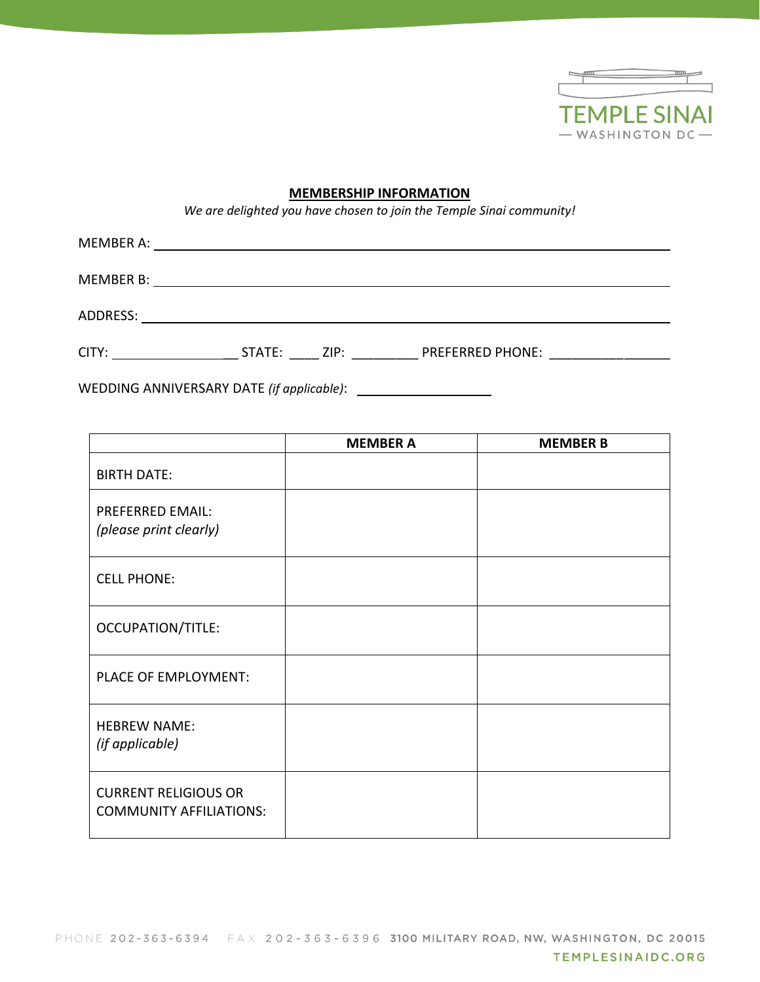

# **MEMBERSHIP INFORMATION**

*We are delighted you have chosen to join the Temple Sinai community!*

| <b>MEMBER A:</b> |             |                         |
|------------------|-------------|-------------------------|
| MEMBER B:        |             |                         |
| ADDRESS:         |             |                         |
| CITY:            | STATE: ZIP: | <b>PREFERRED PHONE:</b> |

WEDDING ANNIVERSARY DATE *(if applicable)*:

|                                                               | <b>MEMBER A</b> | <b>MEMBER B</b> |
|---------------------------------------------------------------|-----------------|-----------------|
| <b>BIRTH DATE:</b>                                            |                 |                 |
| <b>PREFERRED EMAIL:</b><br>(please print clearly)             |                 |                 |
| <b>CELL PHONE:</b>                                            |                 |                 |
| <b>OCCUPATION/TITLE:</b>                                      |                 |                 |
| PLACE OF EMPLOYMENT:                                          |                 |                 |
| <b>HEBREW NAME:</b><br>(if applicable)                        |                 |                 |
| <b>CURRENT RELIGIOUS OR</b><br><b>COMMUNITY AFFILIATIONS:</b> |                 |                 |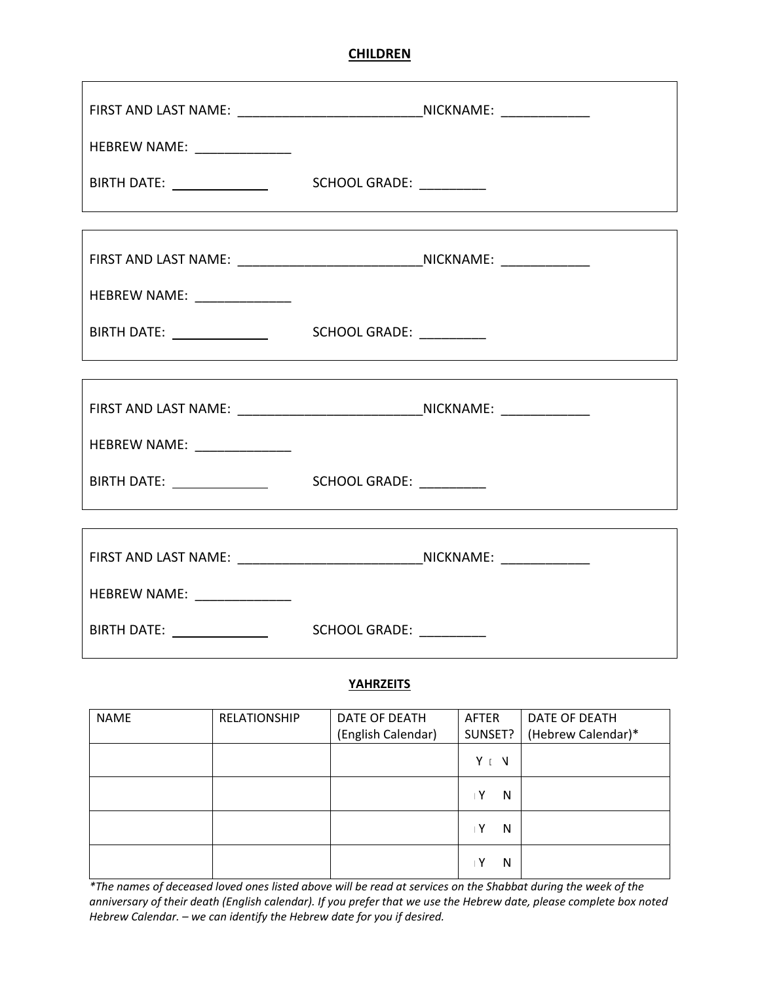# **CHILDREN**

| FIRST AND LAST NAME: __________________________________NICKNAME: _______________ |  |
|----------------------------------------------------------------------------------|--|
| HEBREW NAME: _______________                                                     |  |
|                                                                                  |  |
|                                                                                  |  |
| FIRST AND LAST NAME: __________________________________NICKNAME: _______________ |  |
| HEBREW NAME: ________________                                                    |  |
|                                                                                  |  |
|                                                                                  |  |
| FIRST AND LAST NAME: __________________________________NICKNAME: _______________ |  |
| HEBREW NAME: _______________                                                     |  |
|                                                                                  |  |
|                                                                                  |  |
| FIRST AND LAST NAME: ___________________________________NICKNAME: ______________ |  |
| HEBREW NAME: _______________                                                     |  |
|                                                                                  |  |

#### **YAHRZEITS**

| <b>NAME</b> | <b>RELATIONSHIP</b> | DATE OF DEATH      | <b>AFTER</b> | DATE OF DEATH      |
|-------------|---------------------|--------------------|--------------|--------------------|
|             |                     | (English Calendar) | SUNSET?      | (Hebrew Calendar)* |
|             |                     |                    | YIV          |                    |
|             |                     |                    | ۱Y<br>N      |                    |
|             |                     |                    | . Y<br>N     |                    |
|             |                     |                    | i Y<br>N     |                    |

*\*The names of deceased loved ones listed above will be read at services on the Shabbat during the week of the anniversary of their death (English calendar). If you prefer that we use the Hebrew date, please complete box noted Hebrew Calendar. – we can identify the Hebrew date for you if desired.*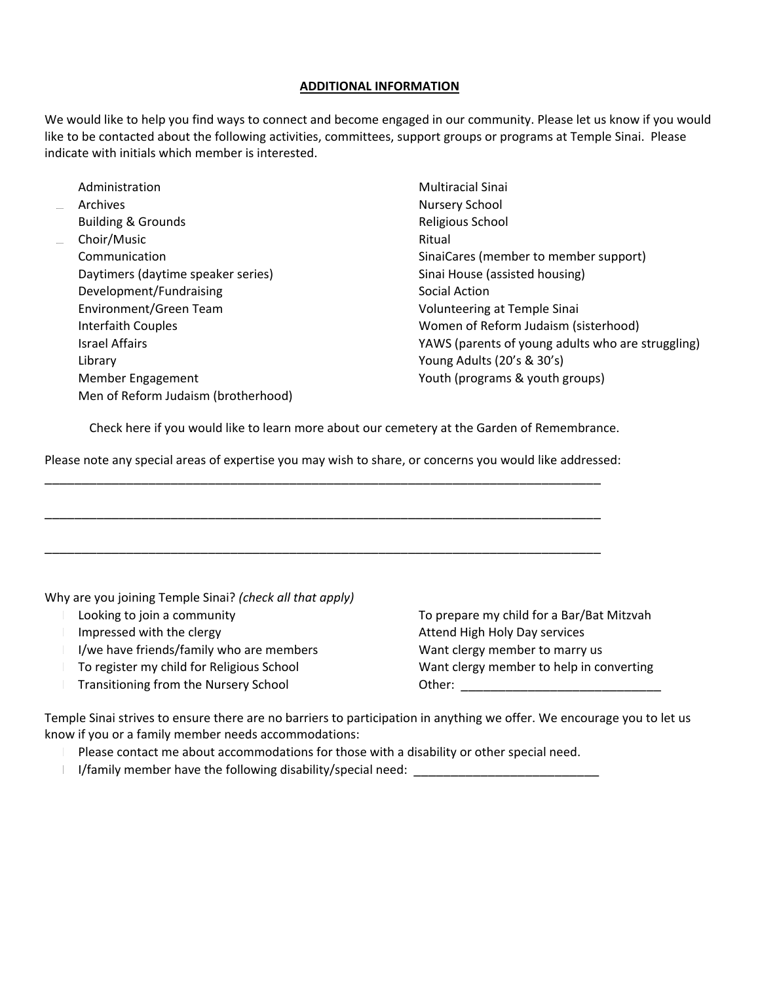#### **ADDITIONAL INFORMATION**

We would like to help you find ways to connect and become engaged in our community. Please let us know if you would like to be contacted about the following activities, committees, support groups or programs at Temple Sinai. Please indicate with initials which member is interested.

| Administration                      | <b>Multiracial Sinai</b>                          |
|-------------------------------------|---------------------------------------------------|
| Archives                            | Nursery School                                    |
| <b>Building &amp; Grounds</b>       | Religious School                                  |
| Choir/Music                         | Ritual                                            |
| Communication                       | SinaiCares (member to member support)             |
| Daytimers (daytime speaker series)  | Sinai House (assisted housing)                    |
| Development/Fundraising             | Social Action                                     |
| Environment/Green Team              | Volunteering at Temple Sinai                      |
| Interfaith Couples                  | Women of Reform Judaism (sisterhood)              |
| <b>Israel Affairs</b>               | YAWS (parents of young adults who are struggling) |
| Library                             | Young Adults (20's & 30's)                        |
| Member Engagement                   | Youth (programs & youth groups)                   |
| Men of Reform Judaism (brotherhood) |                                                   |

Check here if you would like to learn more about our cemetery at the Garden of Remembrance.

Please note any special areas of expertise you may wish to share, or concerns you would like addressed:

\_\_\_\_\_\_\_\_\_\_\_\_\_\_\_\_\_\_\_\_\_\_\_\_\_\_\_\_\_\_\_\_\_\_\_\_\_\_\_\_\_\_\_\_\_\_\_\_\_\_\_\_\_\_\_\_\_\_\_\_\_\_\_\_\_\_\_\_\_\_\_\_\_\_\_

\_\_\_\_\_\_\_\_\_\_\_\_\_\_\_\_\_\_\_\_\_\_\_\_\_\_\_\_\_\_\_\_\_\_\_\_\_\_\_\_\_\_\_\_\_\_\_\_\_\_\_\_\_\_\_\_\_\_\_\_\_\_\_\_\_\_\_\_\_\_\_\_\_\_\_

\_\_\_\_\_\_\_\_\_\_\_\_\_\_\_\_\_\_\_\_\_\_\_\_\_\_\_\_\_\_\_\_\_\_\_\_\_\_\_\_\_\_\_\_\_\_\_\_\_\_\_\_\_\_\_\_\_\_\_\_\_\_\_\_\_\_\_\_\_\_\_\_\_\_\_

Why are you joining Temple Sinai? *(check all that apply)* Looking to join a community Impressed with the clergy I/we have friends/family who are members To register my child for Religious School Transitioning from the Nursery School To prepare my child for a Bar/Bat Mitzvah Attend High Holy Day services Want clergy member to marry us Want clergy member to help in converting Other: \_\_\_\_\_\_\_\_\_\_\_\_\_\_\_\_\_\_\_\_\_\_\_\_\_\_\_

Temple Sinai strives to ensure there are no barriers to participation in anything we offer. We encourage you to let us know if you or a family member needs accommodations:

 Please contact me about accommodations for those with a disability or other special need. I/family member have the following disability/special need: